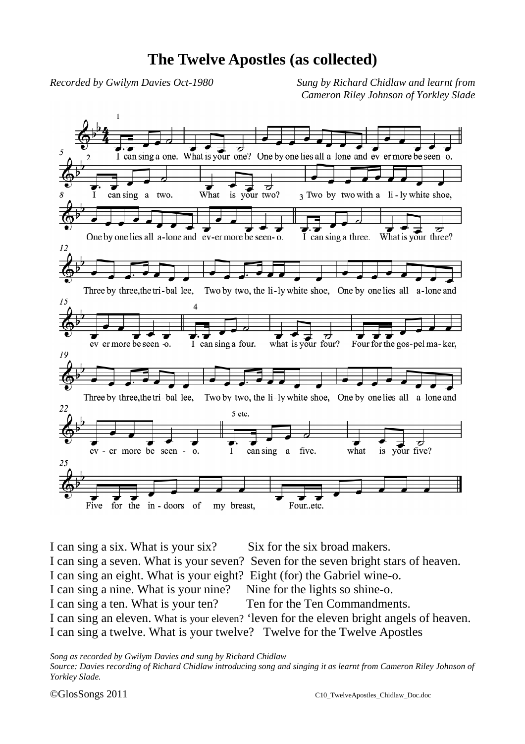## **The Twelve Apostles (as collected)**

*Recorded by Gwilym Davies Oct-1980 Sung by Richard Chidlaw and learnt from Cameron Riley Johnson of Yorkley Slade*



I can sing a six. What is your six? Six for the six broad makers. I can sing a seven. What is your seven? Seven for the seven bright stars of heaven. I can sing an eight. What is your eight? Eight (for) the Gabriel wine-o. I can sing a nine. What is your nine? Nine for the lights so shine-o. I can sing a ten. What is your ten? Ten for the Ten Commandments. I can sing an eleven. What is your eleven? 'leven for the eleven bright angels of heaven. I can sing a twelve. What is your twelve? Twelve for the Twelve Apostles

*Song as recorded by Gwilym Davies and sung by Richard Chidlaw Source: Davies recording of Richard Chidlaw introducing song and singing it as learnt from Cameron Riley Johnson of Yorkley Slade.*